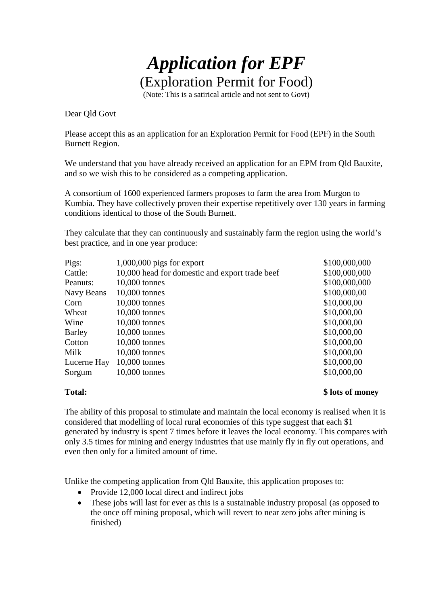## *Application for EPF* (Exploration Permit for Food)

(Note: This is a satirical article and not sent to Govt)

Dear Qld Govt

Please accept this as an application for an Exploration Permit for Food (EPF) in the South Burnett Region.

We understand that you have already received an application for an EPM from Qld Bauxite, and so we wish this to be considered as a competing application.

A consortium of 1600 experienced farmers proposes to farm the area from Murgon to Kumbia. They have collectively proven their expertise repetitively over 130 years in farming conditions identical to those of the South Burnett.

They calculate that they can continuously and sustainably farm the region using the world's best practice, and in one year produce:

| Pigs:       | 1,000,000 pigs for export                      | \$100,000,000 |
|-------------|------------------------------------------------|---------------|
| Cattle:     | 10,000 head for domestic and export trade beef | \$100,000,000 |
| Peanuts:    | 10,000 tonnes                                  | \$100,000,000 |
| Navy Beans  | 10,000 tonnes                                  | \$100,000,00  |
| Corn        | $10,000$ tonnes                                | \$10,000,00   |
| Wheat       | 10,000 tonnes                                  | \$10,000,00   |
| Wine        | 10,000 tonnes                                  | \$10,000,00   |
| Barley      | $10,000$ tonnes                                | \$10,000,00   |
| Cotton      | $10,000$ tonnes                                | \$10,000,00   |
| Milk        | 10,000 tonnes                                  | \$10,000,00   |
| Lucerne Hay | 10,000 tonnes                                  | \$10,000,00   |
| Sorgum      | 10,000 tonnes                                  | \$10,000,00   |

**Total: \$ lots of money**

The ability of this proposal to stimulate and maintain the local economy is realised when it is considered that modelling of local rural economies of this type suggest that each \$1 generated by industry is spent 7 times before it leaves the local economy. This compares with only 3.5 times for mining and energy industries that use mainly fly in fly out operations, and even then only for a limited amount of time.

Unlike the competing application from Qld Bauxite, this application proposes to:

- Provide 12,000 local direct and indirect jobs
- These jobs will last for ever as this is a sustainable industry proposal (as opposed to the once off mining proposal, which will revert to near zero jobs after mining is finished)